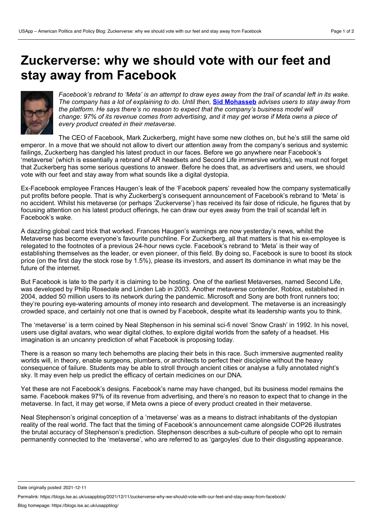## **Zuckerverse: why we should vote with our feet and stay away from Facebook**



Facebook's rebrand to 'Meta' is an attempt to draw eves away from the trail of scandal left in its wake. The company has a lot of explaining to do. Until then, Sid [Mohasseb](https://wp.me/p3I2YF-bms#Author) advises users to stay away from *the platform. He says there's no reason to expect that the company's business model will* change: 97% of its revenue comes from advertising, and it may get worse if Meta owns a piece of *every product created in their metaverse.*

The CEO of Facebook, Mark Zuckerberg, might have some new clothes on, but he's still the same old emperor. In a move that we should not allow to divert our attention away from the company's serious and systemic failings, Zuckerberg has dangled his latest product in our faces. Before we go anywhere near Facebook's 'metaverse' (which is essentially a rebrand of AR headsets and Second Life immersive worlds), we must not forget that Zuckerberg has some serious questions to answer. Before he does that, as advertisers and users, we should vote with our feet and stay away from what sounds like a digital dystopia.

Ex-Facebook employee Frances Haugen's leak of the 'Facebook papers' revealed how the company systematically put profits before people. That is why Zuckerberg's consequent announcement of Facebook's rebrand to 'Meta' is no accident. Whilst his metaverse (or perhaps 'Zuckerverse') has received its fair dose of ridicule, he figures that by focusing attention on his latest product offerings, he can draw our eyes away from the trail of scandal left in Facebook's wake.

A dazzling global card trick that worked. Frances Haugen's warnings are now yesterday's news, whilst the Metaverse has become everyone's favourite punchline. For Zuckerberg, all that matters is that his ex-employee is relegated to the footnotes of a previous 24-hour news cycle. Facebook's rebrand to 'Meta' is their way of establishing themselves as the leader, or even pioneer, of this field. By doing so, Facebook is sure to boost its stock price (on the first day the stock rose by 1.5%), please its investors, and assert its dominance in what may be the future of the internet.

But Facebook is late to the party it is claiming to be hosting. One of the earliest Metaverses, named Second Life, was developed by Philip Rosedale and Linden Lab in 2003. Another metaverse contender, Roblox, established in 2004, added 50 million users to its network during the pandemic. Microsoft and Sony are both front runners too; they're pouring eye-watering amounts of money into research and development. The metaverse is an increasingly crowded space, and certainly not one that is owned by Facebook, despite what its leadership wants you to think.

The 'metaverse' is a term coined by Neal Stephenson in his seminal sci-fi novel 'Snow Crash' in 1992. In his novel, users use digital avatars, who wear digital clothes, to explore digital worlds from the safety of a headset. His imagination is an uncanny prediction of what Facebook is proposing today.

There is a reason so many tech behemoths are placing their bets in this race. Such immersive augmented reality worlds will, in theory, enable surgeons, plumbers, or architects to perfect their discipline without the heavy consequence of failure. Students may be able to stroll through ancient cities or analyse a fully annotated night's sky. It may even help us predict the efficacy of certain medicines on our DNA.

Yet these are not Facebook's designs. Facebook's name may have changed, but its business model remains the same. Facebook makes 97% of its revenue from advertising, and there's no reason to expect that to change in the metaverse. In fact, it may get worse, if Meta owns a piece of every product created in their metaverse.

Neal Stephenson's original conception of a 'metaverse' was as a means to distract inhabitants of the dystopian reality of the real world. The fact that the timing of Facebook's announcement came alongside COP26 illustrates the brutal accuracy of Stephenson's prediction. Stephenson describes a sub-culture of people who opt to remain permanently connected to the 'metaverse', who are referred to as 'gargoyles' due to their disgusting appearance.

Date originally posted: 2021-12-11

Permalink: https://blogs.lse.ac.uk/usappblog/2021/12/11/zuckerverse-why-we-should-vote-with-our-feet-and-stay-away-from-facebook/